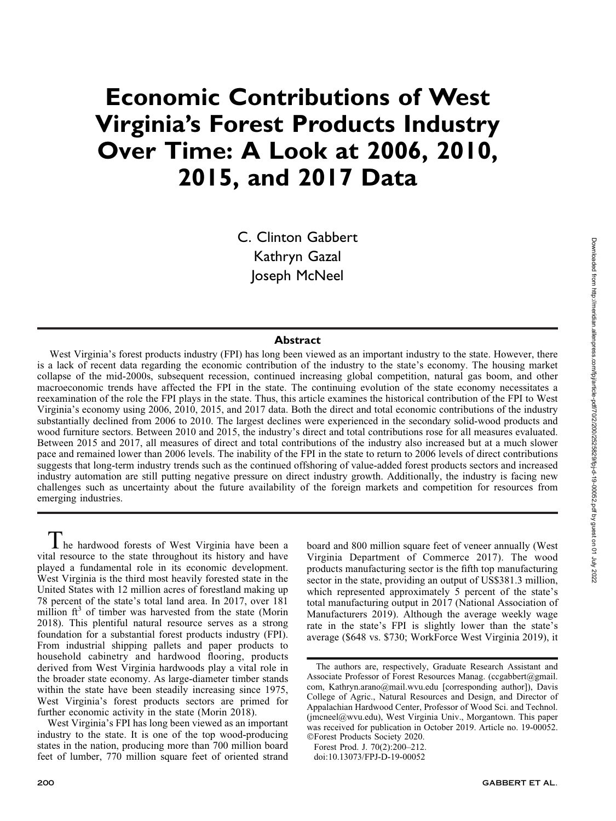# Economic Contributions of West Virginia's Forest Products Industry Over Time: A Look at 2006, 2010, 2015, and 2017 Data

C. Clinton Gabbert Kathryn Gazal Joseph McNeel

#### **Abstract**

West Virginia's forest products industry (FPI) has long been viewed as an important industry to the state. However, there is a lack of recent data regarding the economic contribution of the industry to the state's economy. The housing market collapse of the mid-2000s, subsequent recession, continued increasing global competition, natural gas boom, and other macroeconomic trends have affected the FPI in the state. The continuing evolution of the state economy necessitates a reexamination of the role the FPI plays in the state. Thus, this article examines the historical contribution of the FPI to West Virginia's economy using 2006, 2010, 2015, and 2017 data. Both the direct and total economic contributions of the industry substantially declined from 2006 to 2010. The largest declines were experienced in the secondary solid-wood products and wood furniture sectors. Between 2010 and 2015, the industry's direct and total contributions rose for all measures evaluated. Between 2015 and 2017, all measures of direct and total contributions of the industry also increased but at a much slower pace and remained lower than 2006 levels. The inability of the FPI in the state to return to 2006 levels of direct contributions suggests that long-term industry trends such as the continued offshoring of value-added forest products sectors and increased industry automation are still putting negative pressure on direct industry growth. Additionally, the industry is facing new challenges such as uncertainty about the future availability of the foreign markets and competition for resources from emerging industries.

 $\blacksquare$  he hardwood forests of West Virginia have been a vital resource to the state throughout its history and have played a fundamental role in its economic development. West Virginia is the third most heavily forested state in the United States with 12 million acres of forestland making up 78 percent of the state's total land area. In 2017, over 181 million  $ft<sup>3</sup>$  of timber was harvested from the state (Morin 2018). This plentiful natural resource serves as a strong foundation for a substantial forest products industry (FPI). From industrial shipping pallets and paper products to household cabinetry and hardwood flooring, products derived from West Virginia hardwoods play a vital role in the broader state economy. As large-diameter timber stands within the state have been steadily increasing since 1975, West Virginia's forest products sectors are primed for further economic activity in the state (Morin 2018).

West Virginia's FPI has long been viewed as an important industry to the state. It is one of the top wood-producing states in the nation, producing more than 700 million board feet of lumber, 770 million square feet of oriented strand board and 800 million square feet of veneer annually (West Virginia Department of Commerce 2017). The wood products manufacturing sector is the fifth top manufacturing sector in the state, providing an output of US\$381.3 million, which represented approximately 5 percent of the state's total manufacturing output in 2017 (National Association of Manufacturers 2019). Although the average weekly wage rate in the state's FPI is slightly lower than the state's average (\$648 vs. \$730; WorkForce West Virginia 2019), it

The authors are, respectively, Graduate Research Assistant and Associate Professor of Forest Resources Manag. (ccgabbert@gmail. com, Kathryn.arano@mail.wvu.edu [corresponding author]), Davis College of Agric., Natural Resources and Design, and Director of Appalachian Hardwood Center, Professor of Wood Sci. and Technol. (jmcneel@wvu.edu), West Virginia Univ., Morgantown. This paper was received for publication in October 2019. Article no. 19-00052. -Forest Products Society 2020.

Forest Prod. J. 70(2):200–212.

doi:10.13073/FPJ-D-19-00052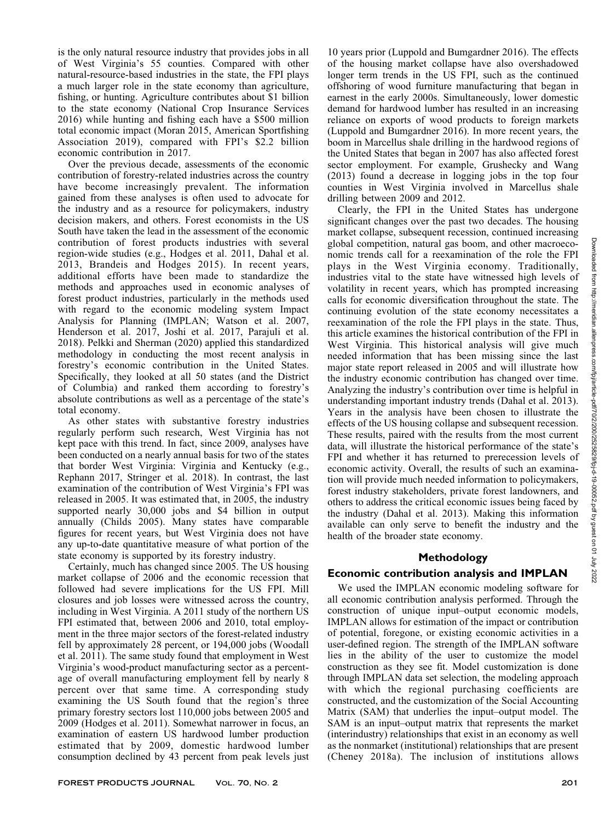is the only natural resource industry that provides jobs in all of West Virginia's 55 counties. Compared with other natural-resource-based industries in the state, the FPI plays a much larger role in the state economy than agriculture, fishing, or hunting. Agriculture contributes about \$1 billion to the state economy (National Crop Insurance Services 2016) while hunting and fishing each have a \$500 million total economic impact (Moran 2015, American Sportfishing Association 2019), compared with FPI's \$2.2 billion economic contribution in 2017.

Over the previous decade, assessments of the economic contribution of forestry-related industries across the country have become increasingly prevalent. The information gained from these analyses is often used to advocate for the industry and as a resource for policymakers, industry decision makers, and others. Forest economists in the US South have taken the lead in the assessment of the economic contribution of forest products industries with several region-wide studies (e.g., Hodges et al. 2011, Dahal et al. 2013, Brandeis and Hodges 2015). In recent years, additional efforts have been made to standardize the methods and approaches used in economic analyses of forest product industries, particularly in the methods used with regard to the economic modeling system Impact Analysis for Planning (IMPLAN; Watson et al. 2007, Henderson et al. 2017, Joshi et al. 2017, Parajuli et al. 2018). Pelkki and Sherman (2020) applied this standardized methodology in conducting the most recent analysis in forestry's economic contribution in the United States. Specifically, they looked at all 50 states (and the District of Columbia) and ranked them according to forestry's absolute contributions as well as a percentage of the state's total economy.

As other states with substantive forestry industries regularly perform such research, West Virginia has not kept pace with this trend. In fact, since 2009, analyses have been conducted on a nearly annual basis for two of the states that border West Virginia: Virginia and Kentucky (e.g., Rephann 2017, Stringer et al. 2018). In contrast, the last examination of the contribution of West Virginia's FPI was released in 2005. It was estimated that, in 2005, the industry supported nearly 30,000 jobs and \$4 billion in output annually (Childs 2005). Many states have comparable figures for recent years, but West Virginia does not have any up-to-date quantitative measure of what portion of the state economy is supported by its forestry industry.

Certainly, much has changed since 2005. The US housing market collapse of 2006 and the economic recession that followed had severe implications for the US FPI. Mill closures and job losses were witnessed across the country, including in West Virginia. A 2011 study of the northern US FPI estimated that, between 2006 and 2010, total employment in the three major sectors of the forest-related industry fell by approximately 28 percent, or 194,000 jobs (Woodall et al. 2011). The same study found that employment in West Virginia's wood-product manufacturing sector as a percentage of overall manufacturing employment fell by nearly 8 percent over that same time. A corresponding study examining the US South found that the region's three primary forestry sectors lost 110,000 jobs between 2005 and 2009 (Hodges et al. 2011). Somewhat narrower in focus, an examination of eastern US hardwood lumber production estimated that by 2009, domestic hardwood lumber consumption declined by 43 percent from peak levels just

10 years prior (Luppold and Bumgardner 2016). The effects of the housing market collapse have also overshadowed longer term trends in the US FPI, such as the continued offshoring of wood furniture manufacturing that began in earnest in the early 2000s. Simultaneously, lower domestic demand for hardwood lumber has resulted in an increasing reliance on exports of wood products to foreign markets (Luppold and Bumgardner 2016). In more recent years, the boom in Marcellus shale drilling in the hardwood regions of the United States that began in 2007 has also affected forest sector employment. For example, Grushecky and Wang (2013) found a decrease in logging jobs in the top four counties in West Virginia involved in Marcellus shale drilling between 2009 and 2012.

Clearly, the FPI in the United States has undergone significant changes over the past two decades. The housing market collapse, subsequent recession, continued increasing global competition, natural gas boom, and other macroeconomic trends call for a reexamination of the role the FPI plays in the West Virginia economy. Traditionally, industries vital to the state have witnessed high levels of volatility in recent years, which has prompted increasing calls for economic diversification throughout the state. The continuing evolution of the state economy necessitates a reexamination of the role the FPI plays in the state. Thus, this article examines the historical contribution of the FPI in West Virginia. This historical analysis will give much needed information that has been missing since the last major state report released in 2005 and will illustrate how the industry economic contribution has changed over time. Analyzing the industry's contribution over time is helpful in understanding important industry trends (Dahal et al. 2013). Years in the analysis have been chosen to illustrate the effects of the US housing collapse and subsequent recession. These results, paired with the results from the most current data, will illustrate the historical performance of the state's FPI and whether it has returned to prerecession levels of economic activity. Overall, the results of such an examination will provide much needed information to policymakers, forest industry stakeholders, private forest landowners, and others to address the critical economic issues being faced by the industry (Dahal et al. 2013). Making this information available can only serve to benefit the industry and the health of the broader state economy.

### Methodology

### Economic contribution analysis and IMPLAN

We used the IMPLAN economic modeling software for all economic contribution analysis performed. Through the construction of unique input–output economic models, IMPLAN allows for estimation of the impact or contribution of potential, foregone, or existing economic activities in a user-defined region. The strength of the IMPLAN software lies in the ability of the user to customize the model construction as they see fit. Model customization is done through IMPLAN data set selection, the modeling approach with which the regional purchasing coefficients are constructed, and the customization of the Social Accounting Matrix (SAM) that underlies the input–output model. The SAM is an input–output matrix that represents the market (interindustry) relationships that exist in an economy as well as the nonmarket (institutional) relationships that are present (Cheney 2018a). The inclusion of institutions allows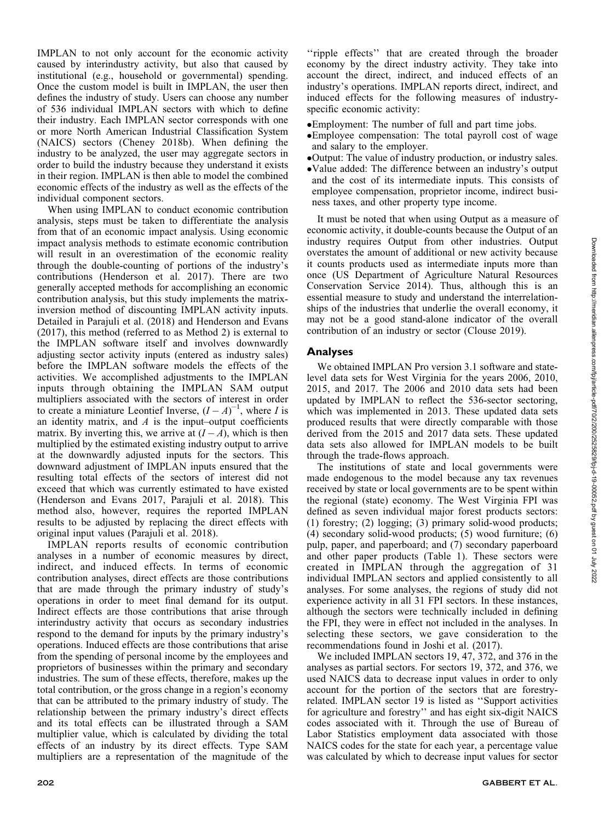IMPLAN to not only account for the economic activity caused by interindustry activity, but also that caused by institutional (e.g., household or governmental) spending. Once the custom model is built in IMPLAN, the user then defines the industry of study. Users can choose any number of 536 individual IMPLAN sectors with which to define their industry. Each IMPLAN sector corresponds with one or more North American Industrial Classification System (NAICS) sectors (Cheney 2018b). When defining the industry to be analyzed, the user may aggregate sectors in order to build the industry because they understand it exists in their region. IMPLAN is then able to model the combined economic effects of the industry as well as the effects of the individual component sectors.

When using IMPLAN to conduct economic contribution analysis, steps must be taken to differentiate the analysis from that of an economic impact analysis. Using economic impact analysis methods to estimate economic contribution will result in an overestimation of the economic reality through the double-counting of portions of the industry's contributions (Henderson et al. 2017). There are two generally accepted methods for accomplishing an economic contribution analysis, but this study implements the matrixinversion method of discounting IMPLAN activity inputs. Detailed in Parajuli et al. (2018) and Henderson and Evans (2017), this method (referred to as Method 2) is external to the IMPLAN software itself and involves downwardly adjusting sector activity inputs (entered as industry sales) before the IMPLAN software models the effects of the activities. We accomplished adjustments to the IMPLAN inputs through obtaining the IMPLAN SAM output multipliers associated with the sectors of interest in order to create a miniature Leontief Inverse,  $(I - A)^{-1}$ , where I is an identity matrix, and  $A$  is the input–output coefficients matrix. By inverting this, we arrive at  $(I - A)$ , which is then multiplied by the estimated existing industry output to arrive at the downwardly adjusted inputs for the sectors. This downward adjustment of IMPLAN inputs ensured that the resulting total effects of the sectors of interest did not exceed that which was currently estimated to have existed (Henderson and Evans 2017, Parajuli et al. 2018). This method also, however, requires the reported IMPLAN results to be adjusted by replacing the direct effects with original input values (Parajuli et al. 2018).

IMPLAN reports results of economic contribution analyses in a number of economic measures by direct, indirect, and induced effects. In terms of economic contribution analyses, direct effects are those contributions that are made through the primary industry of study's operations in order to meet final demand for its output. Indirect effects are those contributions that arise through interindustry activity that occurs as secondary industries respond to the demand for inputs by the primary industry's operations. Induced effects are those contributions that arise from the spending of personal income by the employees and proprietors of businesses within the primary and secondary industries. The sum of these effects, therefore, makes up the total contribution, or the gross change in a region's economy that can be attributed to the primary industry of study. The relationship between the primary industry's direct effects and its total effects can be illustrated through a SAM multiplier value, which is calculated by dividing the total effects of an industry by its direct effects. Type SAM multipliers are a representation of the magnitude of the

''ripple effects'' that are created through the broader economy by the direct industry activity. They take into account the direct, indirect, and induced effects of an industry's operations. IMPLAN reports direct, indirect, and induced effects for the following measures of industryspecific economic activity:

- Employment: The number of full and part time jobs.
- Employee compensation: The total payroll cost of wage and salary to the employer.
- Output: The value of industry production, or industry sales.
- Value added: The difference between an industry's output and the cost of its intermediate inputs. This consists of employee compensation, proprietor income, indirect business taxes, and other property type income.

It must be noted that when using Output as a measure of economic activity, it double-counts because the Output of an industry requires Output from other industries. Output overstates the amount of additional or new activity because it counts products used as intermediate inputs more than once (US Department of Agriculture Natural Resources Conservation Service 2014). Thus, although this is an essential measure to study and understand the interrelationships of the industries that underlie the overall economy, it may not be a good stand-alone indicator of the overall contribution of an industry or sector (Clouse 2019).

## Analyses

We obtained IMPLAN Pro version 3.1 software and statelevel data sets for West Virginia for the years 2006, 2010, 2015, and 2017. The 2006 and 2010 data sets had been updated by IMPLAN to reflect the 536-sector sectoring, which was implemented in 2013. These updated data sets produced results that were directly comparable with those derived from the 2015 and 2017 data sets. These updated data sets also allowed for IMPLAN models to be built through the trade-flows approach.

The institutions of state and local governments were made endogenous to the model because any tax revenues received by state or local governments are to be spent within the regional (state) economy. The West Virginia FPI was defined as seven individual major forest products sectors: (1) forestry; (2) logging; (3) primary solid-wood products; (4) secondary solid-wood products; (5) wood furniture; (6) pulp, paper, and paperboard; and (7) secondary paperboard and other paper products (Table 1). These sectors were created in IMPLAN through the aggregation of 31 individual IMPLAN sectors and applied consistently to all analyses. For some analyses, the regions of study did not experience activity in all 31 FPI sectors. In these instances, although the sectors were technically included in defining the FPI, they were in effect not included in the analyses. In selecting these sectors, we gave consideration to the recommendations found in Joshi et al. (2017).

We included IMPLAN sectors 19, 47, 372, and 376 in the analyses as partial sectors. For sectors 19, 372, and 376, we used NAICS data to decrease input values in order to only account for the portion of the sectors that are forestryrelated. IMPLAN sector 19 is listed as ''Support activities for agriculture and forestry'' and has eight six-digit NAICS codes associated with it. Through the use of Bureau of Labor Statistics employment data associated with those NAICS codes for the state for each year, a percentage value was calculated by which to decrease input values for sector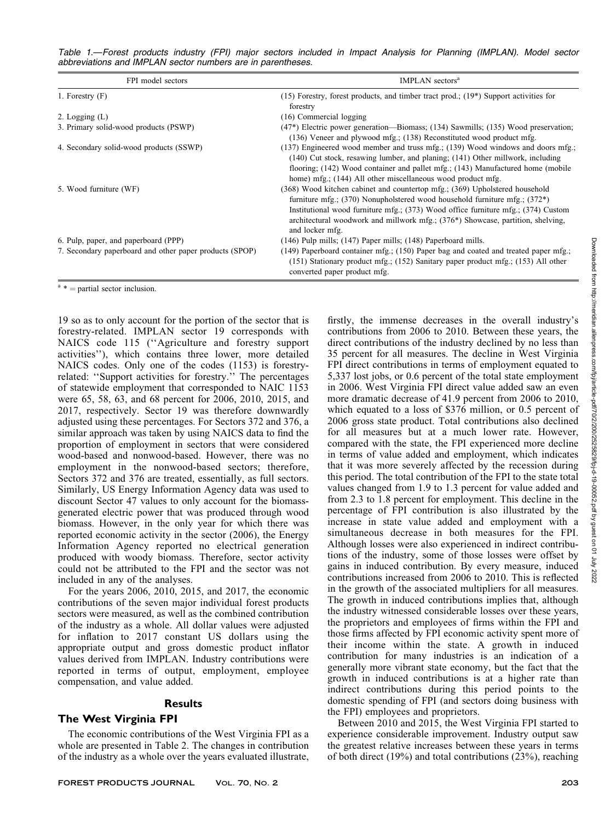| FPI model sectors                                       | IMPLAN sectors <sup>a</sup>                                                                                                                                                                                                                                                                                                                                     |
|---------------------------------------------------------|-----------------------------------------------------------------------------------------------------------------------------------------------------------------------------------------------------------------------------------------------------------------------------------------------------------------------------------------------------------------|
| 1. Forestry $(F)$                                       | $(15)$ Forestry, forest products, and timber tract prod.; $(19*)$ Support activities for<br>forestry                                                                                                                                                                                                                                                            |
| 2. Logging $(L)$                                        | $(16)$ Commercial logging                                                                                                                                                                                                                                                                                                                                       |
| 3. Primary solid-wood products (PSWP)                   | $(47*)$ Electric power generation—Biomass; $(134)$ Sawmills; $(135)$ Wood preservation;<br>(136) Veneer and plywood mfg.; (138) Reconstituted wood product mfg.                                                                                                                                                                                                 |
| 4. Secondary solid-wood products (SSWP)                 | $(137)$ Engineered wood member and truss mfg.; $(139)$ Wood windows and doors mfg.;<br>(140) Cut stock, resawing lumber, and planing; (141) Other millwork, including<br>flooring; (142) Wood container and pallet mfg.; (143) Manufactured home (mobile<br>home) mfg.; (144) All other miscellaneous wood product mfg.                                         |
| 5. Wood furniture (WF)                                  | (368) Wood kitchen cabinet and countertop mfg.; (369) Upholstered household<br>furniture mfg.; $(370)$ Nonupholstered wood household furniture mfg.; $(372^*)$<br>Institutional wood furniture mfg.; $(373)$ Wood office furniture mfg.; $(374)$ Custom<br>architectural woodwork and millwork mfg.; $(376*)$ Showcase, partition, shelving,<br>and locker mfg. |
| 6. Pulp, paper, and paperboard (PPP)                    | $(146)$ Pulp mills; $(147)$ Paper mills; $(148)$ Paperboard mills.                                                                                                                                                                                                                                                                                              |
| 7. Secondary paperboard and other paper products (SPOP) | $(149)$ Paperboard container mfg.; $(150)$ Paper bag and coated and treated paper mfg.;<br>$(151)$ Stationary product mfg.; $(152)$ Sanitary paper product mfg.; $(153)$ All other<br>converted paper product mfg.                                                                                                                                              |

 $a^*$  = partial sector inclusion.

19 so as to only account for the portion of the sector that is forestry-related. IMPLAN sector 19 corresponds with NAICS code 115 (''Agriculture and forestry support activities''), which contains three lower, more detailed NAICS codes. Only one of the codes (1153) is forestryrelated: ''Support activities for forestry.'' The percentages of statewide employment that corresponded to NAIC 1153 were 65, 58, 63, and 68 percent for 2006, 2010, 2015, and 2017, respectively. Sector 19 was therefore downwardly adjusted using these percentages. For Sectors 372 and 376, a similar approach was taken by using NAICS data to find the proportion of employment in sectors that were considered wood-based and nonwood-based. However, there was no employment in the nonwood-based sectors; therefore, Sectors 372 and 376 are treated, essentially, as full sectors. Similarly, US Energy Information Agency data was used to discount Sector 47 values to only account for the biomassgenerated electric power that was produced through wood biomass. However, in the only year for which there was reported economic activity in the sector (2006), the Energy Information Agency reported no electrical generation produced with woody biomass. Therefore, sector activity could not be attributed to the FPI and the sector was not included in any of the analyses.

For the years 2006, 2010, 2015, and 2017, the economic contributions of the seven major individual forest products sectors were measured, as well as the combined contribution of the industry as a whole. All dollar values were adjusted for inflation to 2017 constant US dollars using the appropriate output and gross domestic product inflator values derived from IMPLAN. Industry contributions were reported in terms of output, employment, employee compensation, and value added.

## **Results**

## The West Virginia FPI

The economic contributions of the West Virginia FPI as a whole are presented in Table 2. The changes in contribution of the industry as a whole over the years evaluated illustrate, contributions from 2006 to 2010. Between these years, the direct contributions of the industry declined by no less than 35 percent for all measures. The decline in West Virginia FPI direct contributions in terms of employment equated to 5,337 lost jobs, or 0.6 percent of the total state employment in 2006. West Virginia FPI direct value added saw an even more dramatic decrease of 41.9 percent from 2006 to 2010, which equated to a loss of \$376 million, or 0.5 percent of 2006 gross state product. Total contributions also declined for all measures but at a much lower rate. However, compared with the state, the FPI experienced more decline in terms of value added and employment, which indicates that it was more severely affected by the recession during this period. The total contribution of the FPI to the state total values changed from 1.9 to 1.3 percent for value added and from 2.3 to 1.8 percent for employment. This decline in the percentage of FPI contribution is also illustrated by the increase in state value added and employment with a simultaneous decrease in both measures for the FPI. Although losses were also experienced in indirect contributions of the industry, some of those losses were offset by gains in induced contribution. By every measure, induced contributions increased from 2006 to 2010. This is reflected in the growth of the associated multipliers for all measures. The growth in induced contributions implies that, although the industry witnessed considerable losses over these years, the proprietors and employees of firms within the FPI and those firms affected by FPI economic activity spent more of their income within the state. A growth in induced contribution for many industries is an indication of a generally more vibrant state economy, but the fact that the growth in induced contributions is at a higher rate than indirect contributions during this period points to the domestic spending of FPI (and sectors doing business with the FPI) employees and proprietors.

firstly, the immense decreases in the overall industry's

Between 2010 and 2015, the West Virginia FPI started to experience considerable improvement. Industry output saw the greatest relative increases between these years in terms of both direct (19%) and total contributions (23%), reaching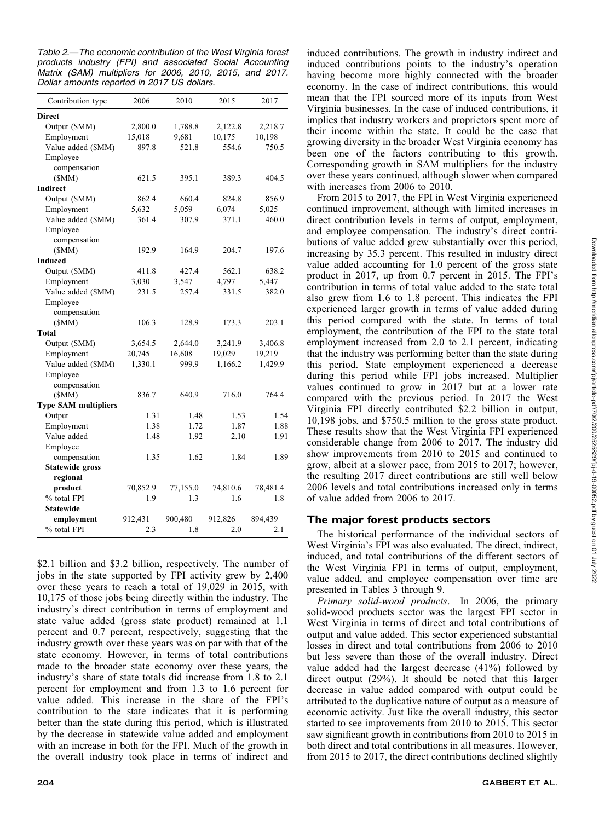Table 2.—The economic contribution of the West Virginia forest products industry (FPI) and associated Social Accounting Matrix (SAM) multipliers for 2006, 2010, 2015, and 2017. Dollar amounts reported in 2017 US dollars.

| Contribution type           | 2006     | 2010     | 2015     | 2017     |
|-----------------------------|----------|----------|----------|----------|
| <b>Direct</b>               |          |          |          |          |
| Output (\$MM)               | 2,800.0  | 1,788.8  | 2,122.8  | 2,218.7  |
| Employment                  | 15,018   | 9,681    | 10,175   | 10,198   |
| Value added (\$MM)          | 897.8    | 521.8    | 554.6    | 750.5    |
| Employee                    |          |          |          |          |
| compensation                |          |          |          |          |
| (SMM)                       | 621.5    | 395.1    | 389.3    | 404.5    |
| Indirect                    |          |          |          |          |
| Output (\$MM)               | 862.4    | 660.4    | 824.8    | 856.9    |
| Employment                  | 5,632    | 5,059    | 6,074    | 5,025    |
| Value added (\$MM)          | 361.4    | 307.9    | 371.1    | 460.0    |
| Employee                    |          |          |          |          |
| compensation                |          |          |          |          |
| (SMM)                       | 192.9    | 164.9    | 204.7    | 197.6    |
| Induced                     |          |          |          |          |
| Output (\$MM)               | 411.8    | 427.4    | 562.1    | 638.2    |
| Employment                  | 3,030    | 3,547    | 4,797    | 5,447    |
| Value added (\$MM)          | 231.5    | 257.4    | 331.5    | 382.0    |
| Employee                    |          |          |          |          |
| compensation                |          |          |          |          |
| (SMM)                       | 106.3    | 128.9    | 173.3    | 203.1    |
| Total                       |          |          |          |          |
| Output (\$MM)               | 3,654.5  | 2,644.0  | 3,241.9  | 3,406.8  |
| Employment                  | 20,745   | 16,608   | 19,029   | 19,219   |
| Value added (\$MM)          | 1,330.1  | 999.9    | 1,166.2  | 1,429.9  |
| Employee                    |          |          |          |          |
| compensation                |          |          |          |          |
| (SMM)                       | 836.7    | 640.9    | 716.0    | 764.4    |
| <b>Type SAM multipliers</b> |          |          |          |          |
| Output                      | 1.31     | 1.48     | 1.53     | 1.54     |
| Employment                  | 1.38     | 1.72     | 1.87     | 1.88     |
| Value added                 | 1.48     | 1.92     | 2.10     | 1.91     |
| Employee                    |          |          |          |          |
| compensation                | 1.35     | 1.62     | 1.84     | 1.89     |
| <b>Statewide gross</b>      |          |          |          |          |
| regional                    |          |          |          |          |
| product                     | 70,852.9 | 77,155.0 | 74,810.6 | 78,481.4 |
| % total FPI                 | 1.9      | 1.3      | 1.6      | 1.8      |
| Statewide                   |          |          |          |          |
| employment                  | 912,431  | 900,480  | 912,826  | 894,439  |
| % total FPI                 | 2.3      | 1.8      | 2.0      | 2.1      |
|                             |          |          |          |          |

\$2.1 billion and \$3.2 billion, respectively. The number of jobs in the state supported by FPI activity grew by 2,400 over these years to reach a total of 19,029 in 2015, with 10,175 of those jobs being directly within the industry. The industry's direct contribution in terms of employment and state value added (gross state product) remained at 1.1 percent and 0.7 percent, respectively, suggesting that the industry growth over these years was on par with that of the state economy. However, in terms of total contributions made to the broader state economy over these years, the industry's share of state totals did increase from 1.8 to 2.1 percent for employment and from 1.3 to 1.6 percent for value added. This increase in the share of the FPI's contribution to the state indicates that it is performing better than the state during this period, which is illustrated by the decrease in statewide value added and employment with an increase in both for the FPI. Much of the growth in the overall industry took place in terms of indirect and induced contributions. The growth in industry indirect and induced contributions points to the industry's operation having become more highly connected with the broader economy. In the case of indirect contributions, this would mean that the FPI sourced more of its inputs from West Virginia businesses. In the case of induced contributions, it implies that industry workers and proprietors spent more of their income within the state. It could be the case that growing diversity in the broader West Virginia economy has been one of the factors contributing to this growth. Corresponding growth in SAM multipliers for the industry over these years continued, although slower when compared with increases from 2006 to 2010.

From 2015 to 2017, the FPI in West Virginia experienced continued improvement, although with limited increases in direct contribution levels in terms of output, employment, and employee compensation. The industry's direct contributions of value added grew substantially over this period, increasing by 35.3 percent. This resulted in industry direct value added accounting for 1.0 percent of the gross state product in 2017, up from 0.7 percent in 2015. The FPI's contribution in terms of total value added to the state total also grew from 1.6 to 1.8 percent. This indicates the FPI experienced larger growth in terms of value added during this period compared with the state. In terms of total employment, the contribution of the FPI to the state total employment increased from 2.0 to 2.1 percent, indicating that the industry was performing better than the state during this period. State employment experienced a decrease during this period while FPI jobs increased. Multiplier values continued to grow in 2017 but at a lower rate compared with the previous period. In 2017 the West Virginia FPI directly contributed \$2.2 billion in output, 10,198 jobs, and \$750.5 million to the gross state product. These results show that the West Virginia FPI experienced considerable change from 2006 to 2017. The industry did show improvements from 2010 to 2015 and continued to grow, albeit at a slower pace, from 2015 to 2017; however, the resulting 2017 direct contributions are still well below 2006 levels and total contributions increased only in terms of value added from 2006 to 2017.

## The major forest products sectors

The historical performance of the individual sectors of West Virginia's FPI was also evaluated. The direct, indirect, induced, and total contributions of the different sectors of the West Virginia FPI in terms of output, employment, value added, and employee compensation over time are presented in Tables 3 through 9.

Primary solid-wood products.—In 2006, the primary solid-wood products sector was the largest FPI sector in West Virginia in terms of direct and total contributions of output and value added. This sector experienced substantial losses in direct and total contributions from 2006 to 2010 but less severe than those of the overall industry. Direct value added had the largest decrease (41%) followed by direct output (29%). It should be noted that this larger decrease in value added compared with output could be attributed to the duplicative nature of output as a measure of economic activity. Just like the overall industry, this sector started to see improvements from 2010 to 2015. This sector saw significant growth in contributions from 2010 to 2015 in both direct and total contributions in all measures. However, from 2015 to 2017, the direct contributions declined slightly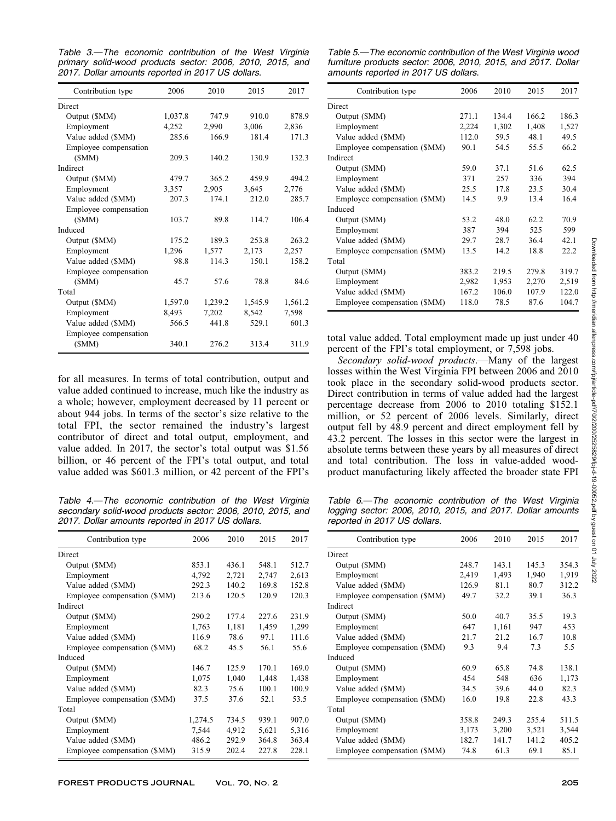Table 3.—The economic contribution of the West Virginia primary solid-wood products sector: 2006, 2010, 2015, and 2017. Dollar amounts reported in 2017 US dollars.

| Contribution type     | 2006    | 2010    | 2015    | 2017    |
|-----------------------|---------|---------|---------|---------|
| Direct                |         |         |         |         |
| Output (\$MM)         | 1,037.8 | 747.9   | 910.0   | 878.9   |
| Employment            | 4,252   | 2,990   | 3,006   | 2,836   |
| Value added (\$MM)    | 285.6   | 166.9   | 181.4   | 171.3   |
| Employee compensation |         |         |         |         |
| (SMM)                 | 209.3   | 140.2   | 130.9   | 132.3   |
| Indirect              |         |         |         |         |
| Output (\$MM)         | 479.7   | 365.2   | 459.9   | 494.2   |
| Employment            | 3,357   | 2,905   | 3,645   | 2,776   |
| Value added (\$MM)    | 207.3   | 174.1   | 212.0   | 285.7   |
| Employee compensation |         |         |         |         |
| (SMM)                 | 103.7   | 89.8    | 114.7   | 106.4   |
| Induced               |         |         |         |         |
| Output (\$MM)         | 175.2   | 189.3   | 253.8   | 263.2   |
| Employment            | 1,296   | 1,577   | 2,173   | 2,257   |
| Value added (\$MM)    | 98.8    | 114.3   | 150.1   | 158.2   |
| Employee compensation |         |         |         |         |
| (SMM)                 | 45.7    | 57.6    | 78.8    | 84.6    |
| Total                 |         |         |         |         |
| Output (\$MM)         | 1,597.0 | 1,239.2 | 1,545.9 | 1,561.2 |
| Employment            | 8,493   | 7,202   | 8,542   | 7,598   |
| Value added (\$MM)    | 566.5   | 441.8   | 529.1   | 601.3   |
| Employee compensation |         |         |         |         |
| (SMM)                 | 340.1   | 276.2   | 313.4   | 311.9   |
|                       |         |         |         |         |

for all measures. In terms of total contribution, output and value added continued to increase, much like the industry as a whole; however, employment decreased by 11 percent or about 944 jobs. In terms of the sector's size relative to the total FPI, the sector remained the industry's largest contributor of direct and total output, employment, and value added. In 2017, the sector's total output was \$1.56 billion, or 46 percent of the FPI's total output, and total value added was \$601.3 million, or 42 percent of the FPI's

Table 4.—The economic contribution of the West Virginia secondary solid-wood products sector: 2006, 2010, 2015, and 2017. Dollar amounts reported in 2017 US dollars.

| Contribution type            | 2006    | 2010  | 2015  | 2017  |
|------------------------------|---------|-------|-------|-------|
| Direct                       |         |       |       |       |
| Output (\$MM)                | 853.1   | 436.1 | 548.1 | 512.7 |
| Employment                   | 4,792   | 2,721 | 2,747 | 2,613 |
| Value added (\$MM)           | 292.3   | 140.2 | 169.8 | 152.8 |
| Employee compensation (\$MM) | 213.6   | 120.5 | 120.9 | 120.3 |
| Indirect                     |         |       |       |       |
| Output (\$MM)                | 290.2   | 177.4 | 227.6 | 231.9 |
| Employment                   | 1,763   | 1,181 | 1,459 | 1,299 |
| Value added (\$MM)           | 116.9   | 78.6  | 97.1  | 111.6 |
| Employee compensation (\$MM) | 68.2    | 45.5  | 56.1  | 55.6  |
| Induced                      |         |       |       |       |
| Output (\$MM)                | 146.7   | 125.9 | 170.1 | 169.0 |
| Employment                   | 1,075   | 1,040 | 1,448 | 1,438 |
| Value added (\$MM)           | 82.3    | 75.6  | 100.1 | 100.9 |
| Employee compensation (\$MM) | 37.5    | 37.6  | 52.1  | 53.5  |
| Total                        |         |       |       |       |
| Output (\$MM)                | 1,274.5 | 734.5 | 939.1 | 907.0 |
| Employment                   | 7,544   | 4,912 | 5,621 | 5,316 |
| Value added (\$MM)           | 486.2   | 292.9 | 364.8 | 363.4 |
| Employee compensation (\$MM) | 315.9   | 202.4 | 227.8 | 228.1 |

Table 5.—The economic contribution of the West Virginia wood furniture products sector: 2006, 2010, 2015, and 2017. Dollar amounts reported in 2017 US dollars.

| Contribution type            | 2006  | 2010  | 2015  | 2017  |
|------------------------------|-------|-------|-------|-------|
| Direct                       |       |       |       |       |
| Output (\$MM)                | 271.1 | 134.4 | 166.2 | 186.3 |
| Employment                   | 2,224 | 1,302 | 1,408 | 1,527 |
| Value added (\$MM)           | 112.0 | 59.5  | 48.1  | 49.5  |
| Employee compensation (\$MM) | 90.1  | 54.5  | 55.5  | 66.2  |
| Indirect                     |       |       |       |       |
| Output (\$MM)                | 59.0  | 37.1  | 51.6  | 62.5  |
| Employment                   | 371   | 257   | 336   | 394   |
| Value added (\$MM)           | 25.5  | 17.8  | 23.5  | 30.4  |
| Employee compensation (\$MM) | 14.5  | 9.9   | 13.4  | 16.4  |
| Induced                      |       |       |       |       |
| Output (\$MM)                | 53.2  | 48.0  | 62.2  | 70.9  |
| Employment                   | 387   | 394   | 525   | 599   |
| Value added (\$MM)           | 29.7  | 28.7  | 36.4  | 42.1  |
| Employee compensation (\$MM) | 13.5  | 14.2  | 18.8  | 22.2  |
| Total                        |       |       |       |       |
| Output (\$MM)                | 383.2 | 219.5 | 279.8 | 319.7 |
| Employment                   | 2,982 | 1,953 | 2,270 | 2,519 |
| Value added (\$MM)           | 167.2 | 106.0 | 107.9 | 122.0 |
| Employee compensation (\$MM) | 118.0 | 78.5  | 87.6  | 104.7 |

total value added. Total employment made up just under 40 percent of the FPI's total employment, or 7,598 jobs.

Secondary solid-wood products.—Many of the largest losses within the West Virginia FPI between 2006 and 2010 took place in the secondary solid-wood products sector. Direct contribution in terms of value added had the largest percentage decrease from 2006 to 2010 totaling \$152.1 million, or 52 percent of 2006 levels. Similarly, direct output fell by 48.9 percent and direct employment fell by 43.2 percent. The losses in this sector were the largest in absolute terms between these years by all measures of direct and total contribution. The loss in value-added woodproduct manufacturing likely affected the broader state FPI

Table 6.—The economic contribution of the West Virginia logging sector: 2006, 2010, 2015, and 2017. Dollar amounts reported in 2017 US dollars.

| Contribution type            | 2006  | 2010  | 2015  | 2017  |
|------------------------------|-------|-------|-------|-------|
| Direct                       |       |       |       |       |
| Output (\$MM)                | 248.7 | 143.1 | 145.3 | 354.3 |
| Employment                   | 2,419 | 1,493 | 1,940 | 1,919 |
| Value added (\$MM)           | 126.9 | 81.1  | 80.7  | 312.2 |
| Employee compensation (\$MM) | 49.7  | 32.2  | 39.1  | 36.3  |
| Indirect                     |       |       |       |       |
| Output (\$MM)                | 50.0  | 40.7  | 35.5  | 19.3  |
| Employment                   | 647   | 1,161 | 947   | 453   |
| Value added (\$MM)           | 21.7  | 21.2  | 16.7  | 10.8  |
| Employee compensation (\$MM) | 9.3   | 9.4   | 7.3   | 5.5   |
| Induced                      |       |       |       |       |
| Output (\$MM)                | 60.9  | 65.8  | 74.8  | 138.1 |
| Employment                   | 454   | 548   | 636   | 1,173 |
| Value added (\$MM)           | 34.5  | 39.6  | 44.0  | 82.3  |
| Employee compensation (\$MM) | 16.0  | 19.8  | 22.8  | 43.3  |
| Total                        |       |       |       |       |
| Output (\$MM)                | 358.8 | 249.3 | 255.4 | 511.5 |
| Employment                   | 3,173 | 3,200 | 3.521 | 3,544 |
| Value added (\$MM)           | 182.7 | 141.7 | 141.2 | 405.2 |
| Employee compensation (\$MM) | 74.8  | 61.3  | 69.1  | 85.1  |
|                              |       |       |       |       |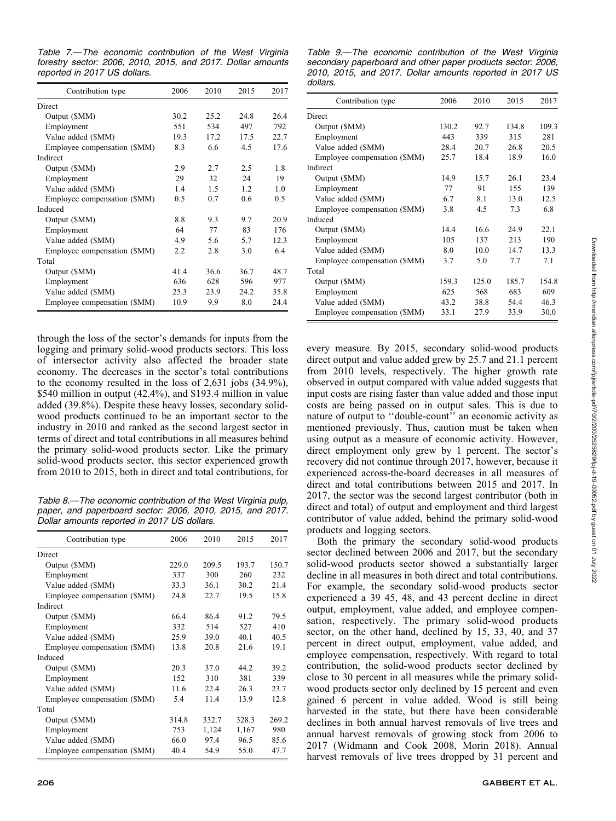Table 7.—The economic contribution of the West Virginia forestry sector: 2006, 2010, 2015, and 2017. Dollar amounts reported in 2017 US dollars.

| Contribution type            | 2006 | 2010 | 2015 | 2017 |
|------------------------------|------|------|------|------|
| Direct                       |      |      |      |      |
| Output (\$MM)                | 30.2 | 25.2 | 24.8 | 264  |
| Employment                   | 551  | 534  | 497  | 792  |
| Value added (\$MM)           | 19.3 | 17.2 | 17.5 | 22.7 |
| Employee compensation (\$MM) | 8.3  | 6.6  | 4.5  | 17.6 |
| Indirect                     |      |      |      |      |
| Output (\$MM)                | 2.9  | 2.7  | 2.5  | 1.8  |
| Employment                   | 29   | 32   | 24   | 19   |
| Value added (\$MM)           | 14   | 1.5  | 12   | 1.0  |
| Employee compensation (\$MM) | 0.5  | 0.7  | 0.6  | 0.5  |
| Induced                      |      |      |      |      |
| Output (\$MM)                | 8.8  | 9.3  | 9.7  | 20.9 |
| Employment                   | 64   | 77   | 83   | 176  |
| Value added (\$MM)           | 4.9  | 5.6  | 5.7  | 12.3 |
| Employee compensation (\$MM) | 2.2  | 2.8  | 3.0  | 64   |
| Total                        |      |      |      |      |
| Output (\$MM)                | 41.4 | 36.6 | 36.7 | 48.7 |
| Employment                   | 636  | 628  | 596  | 977  |
| Value added (\$MM)           | 25.3 | 23.9 | 24.2 | 35.8 |
| Employee compensation (\$MM) | 10.9 | 9.9  | 8.0  | 24.4 |

through the loss of the sector's demands for inputs from the logging and primary solid-wood products sectors. This loss of intersector activity also affected the broader state economy. The decreases in the sector's total contributions to the economy resulted in the loss of 2,631 jobs (34.9%), \$540 million in output (42.4%), and \$193.4 million in value added (39.8%). Despite these heavy losses, secondary solidwood products continued to be an important sector to the industry in 2010 and ranked as the second largest sector in terms of direct and total contributions in all measures behind the primary solid-wood products sector. Like the primary solid-wood products sector, this sector experienced growth from 2010 to 2015, both in direct and total contributions, for

Table 8.—The economic contribution of the West Virginia pulp, paper, and paperboard sector: 2006, 2010, 2015, and 2017. Dollar amounts reported in 2017 US dollars.

| Contribution type            | 2006  | 2010  | 2015  | 2017  |
|------------------------------|-------|-------|-------|-------|
| Direct                       |       |       |       |       |
| Output (\$MM)                | 229.0 | 209.5 | 193.7 | 150.7 |
| Employment                   | 337   | 300   | 260   | 232   |
| Value added (\$MM)           | 33.3  | 36.1  | 30.2  | 21.4  |
| Employee compensation (\$MM) | 24.8  | 22.7  | 19.5  | 15.8  |
| Indirect                     |       |       |       |       |
| Output (\$MM)                | 66.4  | 86.4  | 91.2  | 79.5  |
| Employment                   | 332   | 514   | 527   | 410   |
| Value added (\$MM)           | 25.9  | 39.0  | 40.1  | 40.5  |
| Employee compensation (\$MM) | 13.8  | 20.8  | 21.6  | 19.1  |
| Induced                      |       |       |       |       |
| Output (\$MM)                | 20.3  | 37.0  | 44.2  | 39.2  |
| Employment                   | 152   | 310   | 381   | 339   |
| Value added (\$MM)           | 11.6  | 22.4  | 26.3  | 23.7  |
| Employee compensation (\$MM) | 5.4   | 11.4  | 13.9  | 12.8  |
| Total                        |       |       |       |       |
| Output (\$MM)                | 314.8 | 332.7 | 328.3 | 269.2 |
| Employment                   | 753   | 1,124 | 1,167 | 980   |
| Value added (\$MM)           | 66.0  | 97.4  | 96.5  | 85.6  |
| Employee compensation (\$MM) | 40.4  | 54.9  | 55.0  | 47.7  |

Table 9.—The economic contribution of the West Virginia secondary paperboard and other paper products sector: 2006, 2010, 2015, and 2017. Dollar amounts reported in 2017 US dollars.

| Contribution type            | 2006  | 2010  | 2015  | 2017  |
|------------------------------|-------|-------|-------|-------|
| Direct                       |       |       |       |       |
| Output (\$MM)                | 130.2 | 92.7  | 134.8 | 109.3 |
| Employment                   | 443   | 339   | 315   | 281   |
| Value added (\$MM)           | 28.4  | 20.7  | 26.8  | 20.5  |
| Employee compensation (\$MM) | 25.7  | 18.4  | 18.9  | 16.0  |
| Indirect                     |       |       |       |       |
| Output (\$MM)                | 14.9  | 15.7  | 26.1  | 23.4  |
| Employment                   | 77    | 91    | 155   | 139   |
| Value added (\$MM)           | 6.7   | 8.1   | 13.0  | 12.5  |
| Employee compensation (\$MM) | 3.8   | 4.5   | 7.3   | 6.8   |
| Induced                      |       |       |       |       |
| Output (\$MM)                | 14.4  | 16.6  | 24.9  | 22.1  |
| Employment                   | 105   | 137   | 213   | 190   |
| Value added (\$MM)           | 8.0   | 10.0  | 14.7  | 13.3  |
| Employee compensation (\$MM) | 3.7   | 5.0   | 7.7   | 7.1   |
| Total                        |       |       |       |       |
| Output (\$MM)                | 159.3 | 125.0 | 185.7 | 154.8 |
| Employment                   | 625   | 568   | 683   | 609   |
| Value added (\$MM)           | 43.2  | 38.8  | 54.4  | 46.3  |
| Employee compensation (\$MM) | 33.1  | 27.9  | 33.9  | 30.0  |
|                              |       |       |       |       |

every measure. By 2015, secondary solid-wood products direct output and value added grew by 25.7 and 21.1 percent from 2010 levels, respectively. The higher growth rate observed in output compared with value added suggests that input costs are rising faster than value added and those input costs are being passed on in output sales. This is due to nature of output to ''double-count'' an economic activity as mentioned previously. Thus, caution must be taken when using output as a measure of economic activity. However, direct employment only grew by 1 percent. The sector's recovery did not continue through 2017, however, because it experienced across-the-board decreases in all measures of direct and total contributions between 2015 and 2017. In 2017, the sector was the second largest contributor (both in direct and total) of output and employment and third largest contributor of value added, behind the primary solid-wood products and logging sectors.

Both the primary the secondary solid-wood products sector declined between 2006 and 2017, but the secondary solid-wood products sector showed a substantially larger decline in all measures in both direct and total contributions. For example, the secondary solid-wood products sector experienced a 39 45, 48, and 43 percent decline in direct output, employment, value added, and employee compensation, respectively. The primary solid-wood products sector, on the other hand, declined by 15, 33, 40, and 37 percent in direct output, employment, value added, and employee compensation, respectively. With regard to total contribution, the solid-wood products sector declined by close to 30 percent in all measures while the primary solidwood products sector only declined by 15 percent and even gained 6 percent in value added. Wood is still being harvested in the state, but there have been considerable declines in both annual harvest removals of live trees and annual harvest removals of growing stock from 2006 to 2017 (Widmann and Cook 2008, Morin 2018). Annual harvest removals of live trees dropped by 31 percent and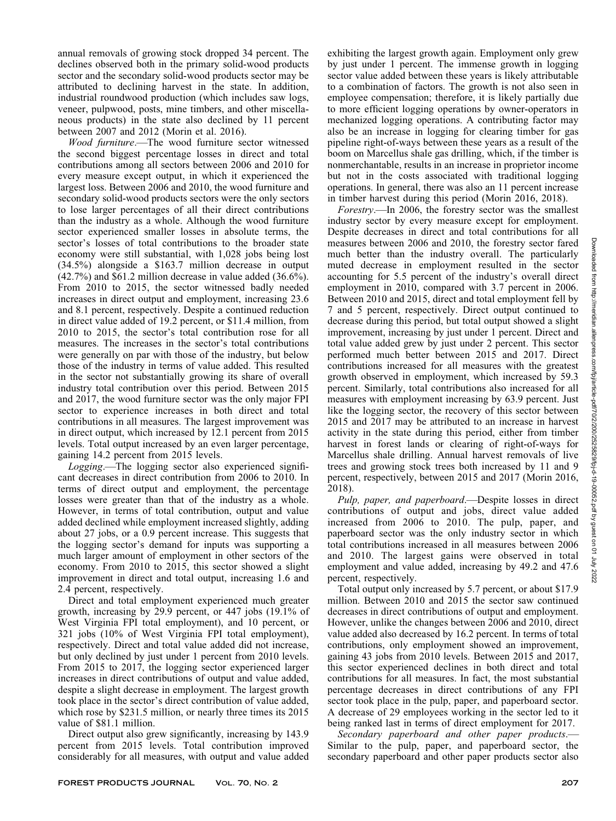annual removals of growing stock dropped 34 percent. The declines observed both in the primary solid-wood products sector and the secondary solid-wood products sector may be attributed to declining harvest in the state. In addition, industrial roundwood production (which includes saw logs, veneer, pulpwood, posts, mine timbers, and other miscellaneous products) in the state also declined by 11 percent between 2007 and 2012 (Morin et al. 2016).

Wood furniture.—The wood furniture sector witnessed the second biggest percentage losses in direct and total contributions among all sectors between 2006 and 2010 for every measure except output, in which it experienced the largest loss. Between 2006 and 2010, the wood furniture and secondary solid-wood products sectors were the only sectors to lose larger percentages of all their direct contributions than the industry as a whole. Although the wood furniture sector experienced smaller losses in absolute terms, the sector's losses of total contributions to the broader state economy were still substantial, with 1,028 jobs being lost (34.5%) alongside a \$163.7 million decrease in output (42.7%) and \$61.2 million decrease in value added (36.6%). From 2010 to 2015, the sector witnessed badly needed increases in direct output and employment, increasing 23.6 and 8.1 percent, respectively. Despite a continued reduction in direct value added of 19.2 percent, or \$11.4 million, from 2010 to 2015, the sector's total contribution rose for all measures. The increases in the sector's total contributions were generally on par with those of the industry, but below those of the industry in terms of value added. This resulted in the sector not substantially growing its share of overall industry total contribution over this period. Between 2015 and 2017, the wood furniture sector was the only major FPI sector to experience increases in both direct and total contributions in all measures. The largest improvement was in direct output, which increased by 12.1 percent from 2015 levels. Total output increased by an even larger percentage, gaining 14.2 percent from 2015 levels.

Logging.—The logging sector also experienced significant decreases in direct contribution from 2006 to 2010. In terms of direct output and employment, the percentage losses were greater than that of the industry as a whole. However, in terms of total contribution, output and value added declined while employment increased slightly, adding about 27 jobs, or a 0.9 percent increase. This suggests that the logging sector's demand for inputs was supporting a much larger amount of employment in other sectors of the economy. From 2010 to 2015, this sector showed a slight improvement in direct and total output, increasing 1.6 and 2.4 percent, respectively.

Direct and total employment experienced much greater growth, increasing by 29.9 percent, or 447 jobs (19.1% of West Virginia FPI total employment), and 10 percent, or 321 jobs (10% of West Virginia FPI total employment), respectively. Direct and total value added did not increase, but only declined by just under 1 percent from 2010 levels. From 2015 to 2017, the logging sector experienced larger increases in direct contributions of output and value added, despite a slight decrease in employment. The largest growth took place in the sector's direct contribution of value added, which rose by \$231.5 million, or nearly three times its 2015 value of \$81.1 million.

Direct output also grew significantly, increasing by 143.9 percent from 2015 levels. Total contribution improved considerably for all measures, with output and value added exhibiting the largest growth again. Employment only grew by just under 1 percent. The immense growth in logging sector value added between these years is likely attributable to a combination of factors. The growth is not also seen in employee compensation; therefore, it is likely partially due to more efficient logging operations by owner-operators in mechanized logging operations. A contributing factor may also be an increase in logging for clearing timber for gas pipeline right-of-ways between these years as a result of the boom on Marcellus shale gas drilling, which, if the timber is nonmerchantable, results in an increase in proprietor income but not in the costs associated with traditional logging operations. In general, there was also an 11 percent increase in timber harvest during this period (Morin 2016, 2018).

Forestry.—In 2006, the forestry sector was the smallest industry sector by every measure except for employment. Despite decreases in direct and total contributions for all measures between 2006 and 2010, the forestry sector fared much better than the industry overall. The particularly muted decrease in employment resulted in the sector accounting for 5.5 percent of the industry's overall direct employment in 2010, compared with 3.7 percent in 2006. Between 2010 and 2015, direct and total employment fell by 7 and 5 percent, respectively. Direct output continued to decrease during this period, but total output showed a slight improvement, increasing by just under 1 percent. Direct and total value added grew by just under 2 percent. This sector performed much better between 2015 and 2017. Direct contributions increased for all measures with the greatest growth observed in employment, which increased by 59.3 percent. Similarly, total contributions also increased for all measures with employment increasing by 63.9 percent. Just like the logging sector, the recovery of this sector between 2015 and 2017 may be attributed to an increase in harvest activity in the state during this period, either from timber harvest in forest lands or clearing of right-of-ways for Marcellus shale drilling. Annual harvest removals of live trees and growing stock trees both increased by 11 and 9 percent, respectively, between 2015 and 2017 (Morin 2016, 2018).

Pulp, paper, and paperboard.—Despite losses in direct contributions of output and jobs, direct value added increased from 2006 to 2010. The pulp, paper, and paperboard sector was the only industry sector in which total contributions increased in all measures between 2006 and 2010. The largest gains were observed in total employment and value added, increasing by 49.2 and 47.6 percent, respectively.

Total output only increased by 5.7 percent, or about \$17.9 million. Between 2010 and 2015 the sector saw continued decreases in direct contributions of output and employment. However, unlike the changes between 2006 and 2010, direct value added also decreased by 16.2 percent. In terms of total contributions, only employment showed an improvement, gaining 43 jobs from 2010 levels. Between 2015 and 2017, this sector experienced declines in both direct and total contributions for all measures. In fact, the most substantial percentage decreases in direct contributions of any FPI sector took place in the pulp, paper, and paperboard sector. A decrease of 29 employees working in the sector led to it being ranked last in terms of direct employment for 2017.

Secondary paperboard and other paper products.— Similar to the pulp, paper, and paperboard sector, the secondary paperboard and other paper products sector also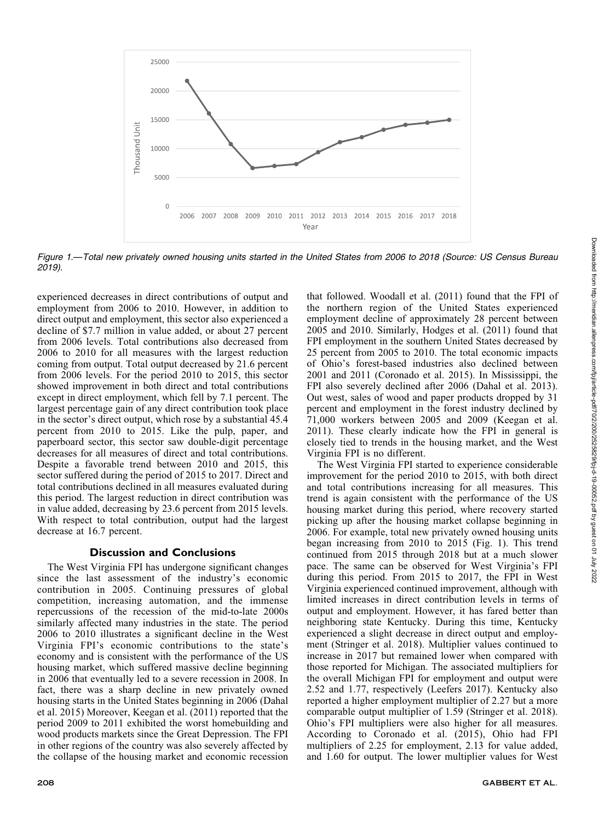

Figure 1.—Total new privately owned housing units started in the United States from 2006 to 2018 (Source: US Census Bureau 2019).

experienced decreases in direct contributions of output and employment from 2006 to 2010. However, in addition to direct output and employment, this sector also experienced a decline of \$7.7 million in value added, or about 27 percent from 2006 levels. Total contributions also decreased from 2006 to 2010 for all measures with the largest reduction coming from output. Total output decreased by 21.6 percent from 2006 levels. For the period 2010 to 2015, this sector showed improvement in both direct and total contributions except in direct employment, which fell by 7.1 percent. The largest percentage gain of any direct contribution took place in the sector's direct output, which rose by a substantial 45.4 percent from 2010 to 2015. Like the pulp, paper, and paperboard sector, this sector saw double-digit percentage decreases for all measures of direct and total contributions. Despite a favorable trend between 2010 and 2015, this sector suffered during the period of 2015 to 2017. Direct and total contributions declined in all measures evaluated during this period. The largest reduction in direct contribution was in value added, decreasing by 23.6 percent from 2015 levels. With respect to total contribution, output had the largest decrease at 16.7 percent.

## Discussion and Conclusions

The West Virginia FPI has undergone significant changes since the last assessment of the industry's economic contribution in 2005. Continuing pressures of global competition, increasing automation, and the immense repercussions of the recession of the mid-to-late 2000s similarly affected many industries in the state. The period 2006 to 2010 illustrates a significant decline in the West Virginia FPI's economic contributions to the state's economy and is consistent with the performance of the US housing market, which suffered massive decline beginning in 2006 that eventually led to a severe recession in 2008. In fact, there was a sharp decline in new privately owned housing starts in the United States beginning in 2006 (Dahal et al. 2015) Moreover, Keegan et al. (2011) reported that the period 2009 to 2011 exhibited the worst homebuilding and wood products markets since the Great Depression. The FPI in other regions of the country was also severely affected by the collapse of the housing market and economic recession the northern region of the United States experienced employment decline of approximately 28 percent between 2005 and 2010. Similarly, Hodges et al. (2011) found that FPI employment in the southern United States decreased by 25 percent from 2005 to 2010. The total economic impacts of Ohio's forest-based industries also declined between 2001 and 2011 (Coronado et al. 2015). In Mississippi, the FPI also severely declined after 2006 (Dahal et al. 2013). Out west, sales of wood and paper products dropped by 31 percent and employment in the forest industry declined by 71,000 workers between 2005 and 2009 (Keegan et al. 2011). These clearly indicate how the FPI in general is closely tied to trends in the housing market, and the West Virginia FPI is no different. The West Virginia FPI started to experience considerable

that followed. Woodall et al. (2011) found that the FPI of

improvement for the period 2010 to 2015, with both direct and total contributions increasing for all measures. This trend is again consistent with the performance of the US housing market during this period, where recovery started picking up after the housing market collapse beginning in 2006. For example, total new privately owned housing units began increasing from 2010 to 2015 (Fig. 1). This trend continued from 2015 through 2018 but at a much slower pace. The same can be observed for West Virginia's FPI during this period. From 2015 to 2017, the FPI in West Virginia experienced continued improvement, although with limited increases in direct contribution levels in terms of output and employment. However, it has fared better than neighboring state Kentucky. During this time, Kentucky experienced a slight decrease in direct output and employment (Stringer et al. 2018). Multiplier values continued to increase in 2017 but remained lower when compared with those reported for Michigan. The associated multipliers for the overall Michigan FPI for employment and output were 2.52 and 1.77, respectively (Leefers 2017). Kentucky also reported a higher employment multiplier of 2.27 but a more comparable output multiplier of 1.59 (Stringer et al. 2018). Ohio's FPI multipliers were also higher for all measures. According to Coronado et al. (2015), Ohio had FPI multipliers of 2.25 for employment, 2.13 for value added, and 1.60 for output. The lower multiplier values for West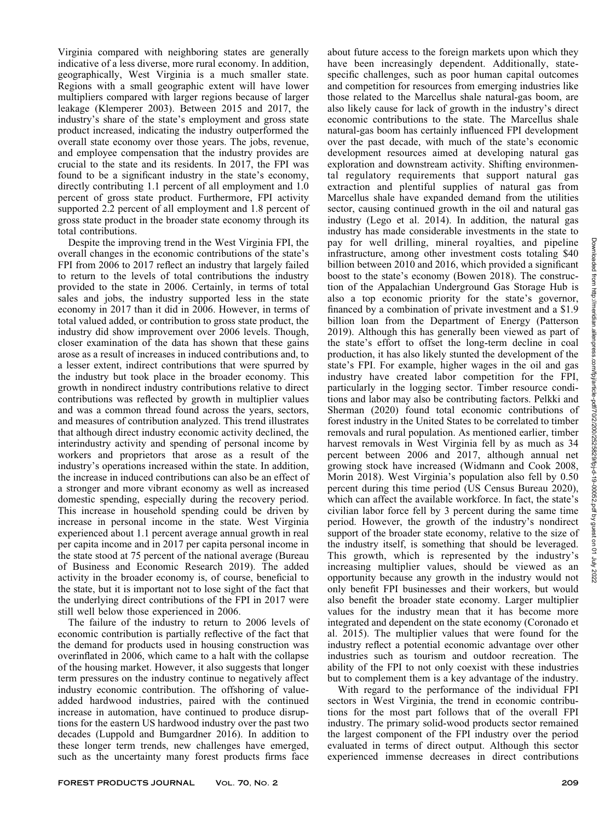indicative of a less diverse, more rural economy. In addition, geographically, West Virginia is a much smaller state. Regions with a small geographic extent will have lower multipliers compared with larger regions because of larger leakage (Klemperer 2003). Between 2015 and 2017, the industry's share of the state's employment and gross state product increased, indicating the industry outperformed the overall state economy over those years. The jobs, revenue, and employee compensation that the industry provides are crucial to the state and its residents. In 2017, the FPI was found to be a significant industry in the state's economy, directly contributing 1.1 percent of all employment and 1.0 percent of gross state product. Furthermore, FPI activity supported 2.2 percent of all employment and 1.8 percent of gross state product in the broader state economy through its Despite the improving trend in the West Virginia FPI, the overall changes in the economic contributions of the state's

FPI from 2006 to 2017 reflect an industry that largely failed to return to the levels of total contributions the industry provided to the state in 2006. Certainly, in terms of total sales and jobs, the industry supported less in the state economy in 2017 than it did in 2006. However, in terms of total valued added, or contribution to gross state product, the industry did show improvement over 2006 levels. Though, closer examination of the data has shown that these gains arose as a result of increases in induced contributions and, to a lesser extent, indirect contributions that were spurred by the industry but took place in the broader economy. This growth in nondirect industry contributions relative to direct contributions was reflected by growth in multiplier values and was a common thread found across the years, sectors, and measures of contribution analyzed. This trend illustrates that although direct industry economic activity declined, the interindustry activity and spending of personal income by workers and proprietors that arose as a result of the industry's operations increased within the state. In addition, the increase in induced contributions can also be an effect of a stronger and more vibrant economy as well as increased domestic spending, especially during the recovery period. This increase in household spending could be driven by increase in personal income in the state. West Virginia experienced about 1.1 percent average annual growth in real per capita income and in 2017 per capita personal income in the state stood at 75 percent of the national average (Bureau of Business and Economic Research 2019). The added activity in the broader economy is, of course, beneficial to the state, but it is important not to lose sight of the fact that the underlying direct contributions of the FPI in 2017 were still well below those experienced in 2006.

Virginia compared with neighboring states are generally

total contributions.

The failure of the industry to return to 2006 levels of economic contribution is partially reflective of the fact that the demand for products used in housing construction was overinflated in 2006, which came to a halt with the collapse of the housing market. However, it also suggests that longer term pressures on the industry continue to negatively affect industry economic contribution. The offshoring of valueadded hardwood industries, paired with the continued increase in automation, have continued to produce disruptions for the eastern US hardwood industry over the past two decades (Luppold and Bumgardner 2016). In addition to these longer term trends, new challenges have emerged, such as the uncertainty many forest products firms face about future access to the foreign markets upon which they have been increasingly dependent. Additionally, statespecific challenges, such as poor human capital outcomes and competition for resources from emerging industries like those related to the Marcellus shale natural-gas boom, are also likely cause for lack of growth in the industry's direct economic contributions to the state. The Marcellus shale natural-gas boom has certainly influenced FPI development over the past decade, with much of the state's economic development resources aimed at developing natural gas exploration and downstream activity. Shifting environmental regulatory requirements that support natural gas extraction and plentiful supplies of natural gas from Marcellus shale have expanded demand from the utilities sector, causing continued growth in the oil and natural gas industry (Lego et al. 2014). In addition, the natural gas industry has made considerable investments in the state to pay for well drilling, mineral royalties, and pipeline infrastructure, among other investment costs totaling \$40 billion between 2010 and 2016, which provided a significant boost to the state's economy (Bowen 2018). The construction of the Appalachian Underground Gas Storage Hub is also a top economic priority for the state's governor, financed by a combination of private investment and a \$1.9 billion loan from the Department of Energy (Patterson 2019). Although this has generally been viewed as part of the state's effort to offset the long-term decline in coal production, it has also likely stunted the development of the state's FPI. For example, higher wages in the oil and gas industry have created labor competition for the FPI, particularly in the logging sector. Timber resource conditions and labor may also be contributing factors. Pelkki and Sherman (2020) found total economic contributions of forest industry in the United States to be correlated to timber removals and rural population. As mentioned earlier, timber harvest removals in West Virginia fell by as much as 34 percent between 2006 and 2017, although annual net growing stock have increased (Widmann and Cook 2008, Morin 2018). West Virginia's population also fell by 0.50 percent during this time period (US Census Bureau 2020), which can affect the available workforce. In fact, the state's civilian labor force fell by 3 percent during the same time period. However, the growth of the industry's nondirect support of the broader state economy, relative to the size of the industry itself, is something that should be leveraged. This growth, which is represented by the industry's increasing multiplier values, should be viewed as an opportunity because any growth in the industry would not only benefit FPI businesses and their workers, but would also benefit the broader state economy. Larger multiplier values for the industry mean that it has become more integrated and dependent on the state economy (Coronado et al. 2015). The multiplier values that were found for the industry reflect a potential economic advantage over other industries such as tourism and outdoor recreation. The ability of the FPI to not only coexist with these industries but to complement them is a key advantage of the industry.

With regard to the performance of the individual FPI sectors in West Virginia, the trend in economic contributions for the most part follows that of the overall FPI industry. The primary solid-wood products sector remained the largest component of the FPI industry over the period evaluated in terms of direct output. Although this sector experienced immense decreases in direct contributions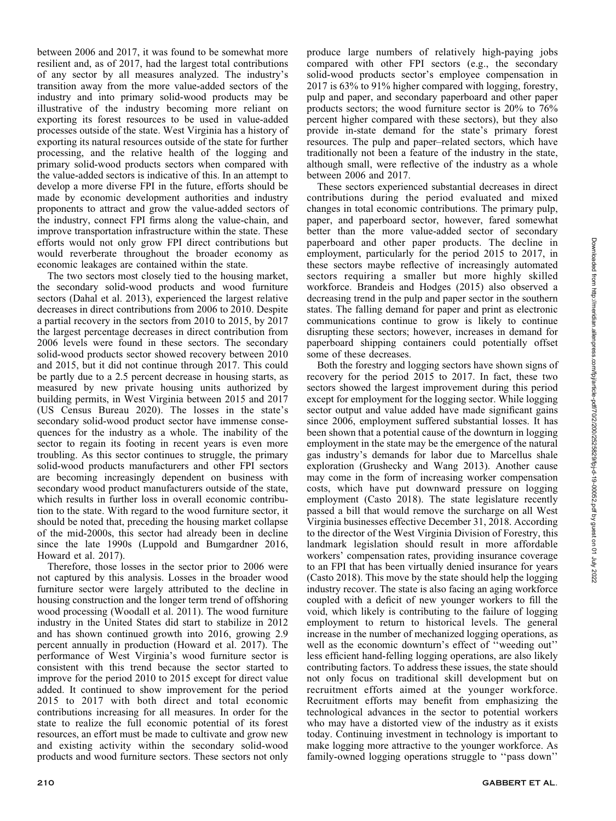between 2006 and 2017, it was found to be somewhat more resilient and, as of 2017, had the largest total contributions of any sector by all measures analyzed. The industry's transition away from the more value-added sectors of the industry and into primary solid-wood products may be illustrative of the industry becoming more reliant on exporting its forest resources to be used in value-added processes outside of the state. West Virginia has a history of exporting its natural resources outside of the state for further processing, and the relative health of the logging and primary solid-wood products sectors when compared with the value-added sectors is indicative of this. In an attempt to develop a more diverse FPI in the future, efforts should be made by economic development authorities and industry proponents to attract and grow the value-added sectors of the industry, connect FPI firms along the value-chain, and improve transportation infrastructure within the state. These efforts would not only grow FPI direct contributions but would reverberate throughout the broader economy as economic leakages are contained within the state.

The two sectors most closely tied to the housing market, the secondary solid-wood products and wood furniture sectors (Dahal et al. 2013), experienced the largest relative decreases in direct contributions from 2006 to 2010. Despite a partial recovery in the sectors from 2010 to 2015, by 2017 the largest percentage decreases in direct contribution from 2006 levels were found in these sectors. The secondary solid-wood products sector showed recovery between 2010 and 2015, but it did not continue through 2017. This could be partly due to a 2.5 percent decrease in housing starts, as measured by new private housing units authorized by building permits, in West Virginia between 2015 and 2017 (US Census Bureau 2020). The losses in the state's secondary solid-wood product sector have immense consequences for the industry as a whole. The inability of the sector to regain its footing in recent years is even more troubling. As this sector continues to struggle, the primary solid-wood products manufacturers and other FPI sectors are becoming increasingly dependent on business with secondary wood product manufacturers outside of the state, which results in further loss in overall economic contribution to the state. With regard to the wood furniture sector, it should be noted that, preceding the housing market collapse of the mid-2000s, this sector had already been in decline since the late 1990s (Luppold and Bumgardner 2016, Howard et al. 2017).

Therefore, those losses in the sector prior to 2006 were not captured by this analysis. Losses in the broader wood furniture sector were largely attributed to the decline in housing construction and the longer term trend of offshoring wood processing (Woodall et al. 2011). The wood furniture industry in the United States did start to stabilize in 2012 and has shown continued growth into 2016, growing 2.9 percent annually in production (Howard et al. 2017). The performance of West Virginia's wood furniture sector is consistent with this trend because the sector started to improve for the period 2010 to 2015 except for direct value added. It continued to show improvement for the period 2015 to 2017 with both direct and total economic contributions increasing for all measures. In order for the state to realize the full economic potential of its forest resources, an effort must be made to cultivate and grow new and existing activity within the secondary solid-wood products and wood furniture sectors. These sectors not only

solid-wood products sector's employee compensation in 2017 is 63% to 91% higher compared with logging, forestry, pulp and paper, and secondary paperboard and other paper products sectors; the wood furniture sector is 20% to 76% percent higher compared with these sectors), but they also provide in-state demand for the state's primary forest resources. The pulp and paper–related sectors, which have traditionally not been a feature of the industry in the state, although small, were reflective of the industry as a whole between 2006 and 2017. These sectors experienced substantial decreases in direct

contributions during the period evaluated and mixed changes in total economic contributions. The primary pulp, paper, and paperboard sector, however, fared somewhat better than the more value-added sector of secondary paperboard and other paper products. The decline in employment, particularly for the period 2015 to 2017, in these sectors maybe reflective of increasingly automated sectors requiring a smaller but more highly skilled workforce. Brandeis and Hodges (2015) also observed a decreasing trend in the pulp and paper sector in the southern states. The falling demand for paper and print as electronic communications continue to grow is likely to continue disrupting these sectors; however, increases in demand for paperboard shipping containers could potentially offset some of these decreases.

produce large numbers of relatively high-paying jobs compared with other FPI sectors (e.g., the secondary

Both the forestry and logging sectors have shown signs of recovery for the period 2015 to 2017. In fact, these two sectors showed the largest improvement during this period except for employment for the logging sector. While logging sector output and value added have made significant gains since 2006, employment suffered substantial losses. It has been shown that a potential cause of the downturn in logging employment in the state may be the emergence of the natural gas industry's demands for labor due to Marcellus shale exploration (Grushecky and Wang 2013). Another cause may come in the form of increasing worker compensation costs, which have put downward pressure on logging employment (Casto 2018). The state legislature recently passed a bill that would remove the surcharge on all West Virginia businesses effective December 31, 2018. According to the director of the West Virginia Division of Forestry, this landmark legislation should result in more affordable workers' compensation rates, providing insurance coverage to an FPI that has been virtually denied insurance for years (Casto 2018). This move by the state should help the logging industry recover. The state is also facing an aging workforce coupled with a deficit of new younger workers to fill the void, which likely is contributing to the failure of logging employment to return to historical levels. The general increase in the number of mechanized logging operations, as well as the economic downturn's effect of ''weeding out'' less efficient hand-felling logging operations, are also likely contributing factors. To address these issues, the state should not only focus on traditional skill development but on recruitment efforts aimed at the younger workforce. Recruitment efforts may benefit from emphasizing the technological advances in the sector to potential workers who may have a distorted view of the industry as it exists today. Continuing investment in technology is important to make logging more attractive to the younger workforce. As family-owned logging operations struggle to ''pass down''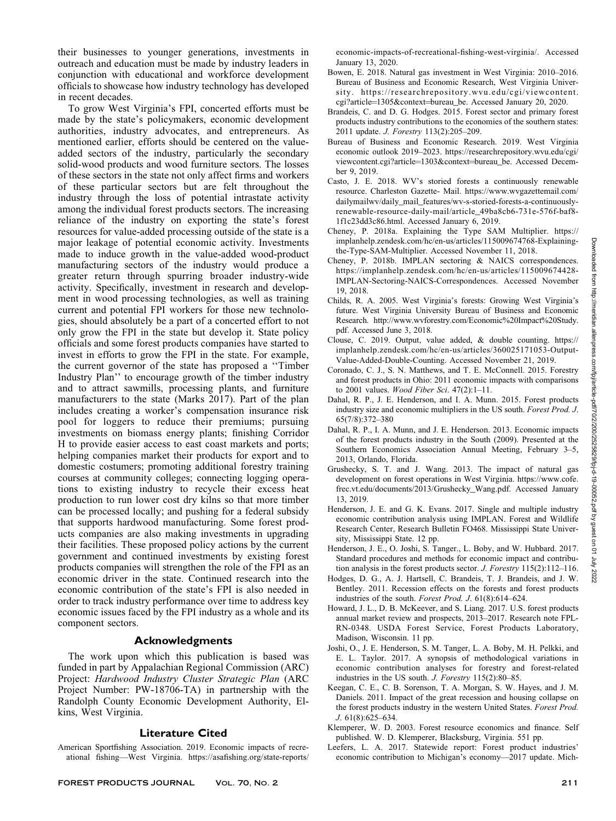their businesses to younger generations, investments in outreach and education must be made by industry leaders in conjunction with educational and workforce development officials to showcase how industry technology has developed in recent decades.

To grow West Virginia's FPI, concerted efforts must be made by the state's policymakers, economic development authorities, industry advocates, and entrepreneurs. As mentioned earlier, efforts should be centered on the valueadded sectors of the industry, particularly the secondary solid-wood products and wood furniture sectors. The losses of these sectors in the state not only affect firms and workers of these particular sectors but are felt throughout the industry through the loss of potential intrastate activity among the individual forest products sectors. The increasing reliance of the industry on exporting the state's forest resources for value-added processing outside of the state is a major leakage of potential economic activity. Investments made to induce growth in the value-added wood-product manufacturing sectors of the industry would produce a greater return through spurring broader industry-wide activity. Specifically, investment in research and development in wood processing technologies, as well as training current and potential FPI workers for those new technologies, should absolutely be a part of a concerted effort to not only grow the FPI in the state but develop it. State policy officials and some forest products companies have started to invest in efforts to grow the FPI in the state. For example, the current governor of the state has proposed a ''Timber Industry Plan'' to encourage growth of the timber industry and to attract sawmills, processing plants, and furniture manufacturers to the state (Marks 2017). Part of the plan includes creating a worker's compensation insurance risk pool for loggers to reduce their premiums; pursuing investments on biomass energy plants; finishing Corridor H to provide easier access to east coast markets and ports; helping companies market their products for export and to domestic costumers; promoting additional forestry training courses at community colleges; connecting logging operations to existing industry to recycle their excess heat production to run lower cost dry kilns so that more timber can be processed locally; and pushing for a federal subsidy that supports hardwood manufacturing. Some forest products companies are also making investments in upgrading their facilities. These proposed policy actions by the current government and continued investments by existing forest products companies will strengthen the role of the FPI as an economic driver in the state. Continued research into the economic contribution of the state's FPI is also needed in order to track industry performance over time to address key economic issues faced by the FPI industry as a whole and its component sectors.

### Acknowledgments

The work upon which this publication is based was funded in part by Appalachian Regional Commission (ARC) Project: Hardwood Industry Cluster Strategic Plan (ARC Project Number: PW-18706-TA) in partnership with the Randolph County Economic Development Authority, Elkins, West Virginia.

## Literature Cited

American Sportfishing Association. 2019. Economic impacts of recreational fishing—West Virginia. https://asafishing.org/state-reports/ economic-impacts-of-recreational-fishing-west-virginia/. Accessed January 13, 2020.

- Bowen, E. 2018. Natural gas investment in West Virginia: 2010–2016. Bureau of Business and Economic Research, West Virginia University. https://researchrepository.wvu.edu/cgi/viewcontent. cgi?article=1305&context=bureau\_be. Accessed January 20, 2020.
- Brandeis, C. and D. G. Hodges. 2015. Forest sector and primary forest products industry contributions to the economies of the southern states: 2011 update. J. Forestry 113(2):205–209.
- Bureau of Business and Economic Research. 2019. West Virginia economic outlook 2019–2023. https://researchrepository.wvu.edu/cgi/ viewcontent.cgi?article=1303&context=bureau\_be. Accessed December 9, 2019.
- Casto, J. E. 2018. WV's storied forests a continuously renewable resource. Charleston Gazette- Mail. https://www.wvgazettemail.com/ dailymailwv/daily\_mail\_features/wv-s-storied-forests-a-continuouslyrenewable-resource-daily-mail/article\_49ba8cb6-731e-576f-baf8- 1f1c23dd3c86.html. Accessed January 6, 2019.
- Cheney, P. 2018a. Explaining the Type SAM Multiplier. https:// implanhelp.zendesk.com/hc/en-us/articles/115009674768-Explainingthe-Type-SAM-Multiplier. Accessed November 11, 2018.
- Cheney, P. 2018b. IMPLAN sectoring & NAICS correspondences. https://implanhelp.zendesk.com/hc/en-us/articles/115009674428- IMPLAN-Sectoring-NAICS-Correspondences. Accessed November 19, 2018.
- Childs, R. A. 2005. West Virginia's forests: Growing West Virginia's future. West Virginia University Bureau of Business and Economic Research. http://www.wvforestry.com/Economic%20Impact%20Study. pdf. Accessed June 3, 2018.
- Clouse, C. 2019. Output, value added, & double counting. https:// implanhelp.zendesk.com/hc/en-us/articles/360025171053-Output-Value-Added-Double-Counting. Accessed November 21, 2019.
- Coronado, C. J., S. N. Matthews, and T. E. McConnell. 2015. Forestry and forest products in Ohio: 2011 economic impacts with comparisons to 2001 values. *Wood Fiber Sci.*  $47(2)$ :  $1-11$ .
- Dahal, R. P., J. E. Henderson, and I. A. Munn. 2015. Forest products industry size and economic multipliers in the US south. Forest Prod. J. 65(7/8):372–380
- Dahal, R. P., I. A. Munn, and J. E. Henderson. 2013. Economic impacts of the forest products industry in the South (2009). Presented at the Southern Economics Association Annual Meeting, February 3–5, 2013, Orlando, Florida.
- Grushecky, S. T. and J. Wang. 2013. The impact of natural gas development on forest operations in West Virginia. https://www.cofe. frec.vt.edu/documents/2013/Grushecky\_Wang.pdf. Accessed January 13, 2019.
- Henderson, J. E. and G. K. Evans. 2017. Single and multiple industry economic contribution analysis using IMPLAN. Forest and Wildlife Research Center, Research Bulletin FO468. Mississippi State University, Mississippi State. 12 pp.
- Henderson, J. E., O. Joshi, S. Tanger., L. Boby, and W. Hubbard. 2017. Standard procedures and methods for economic impact and contribution analysis in the forest products sector. J. Forestry 115(2):112–116.
- Hodges, D. G., A. J. Hartsell, C. Brandeis, T. J. Brandeis, and J. W. Bentley. 2011. Recession effects on the forests and forest products industries of the south. Forest Prod. J. 61(8):614–624.
- Howard, J. L., D. B. McKeever, and S. Liang. 2017. U.S. forest products annual market review and prospects, 2013–2017. Research note FPL-RN-0348. USDA Forest Service, Forest Products Laboratory, Madison, Wisconsin. 11 pp.
- Joshi, O., J. E. Henderson, S. M. Tanger, L. A. Boby, M. H. Pelkki, and E. L. Taylor. 2017. A synopsis of methodological variations in economic contribution analyses for forestry and forest-related industries in the US south. J. Forestry 115(2):80–85.
- Keegan, C. E., C. B. Sorenson, T. A. Morgan, S. W. Hayes, and J. M. Daniels. 2011. Impact of the great recession and housing collapse on the forest products industry in the western United States. Forest Prod. J. 61(8):625–634.
- Klemperer, W. D. 2003. Forest resource economics and finance. Self published. W. D. Klemperer, Blacksburg, Virginia. 551 pp.
- Leefers, L. A. 2017. Statewide report: Forest product industries' economic contribution to Michigan's economy—2017 update. Mich-